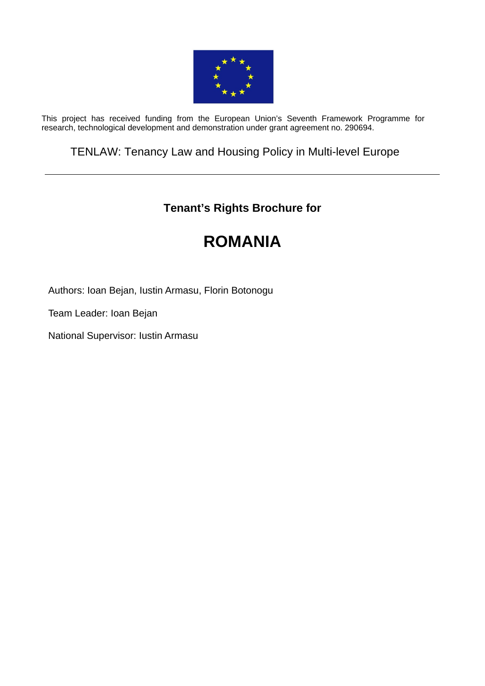

This project has received funding from the European Union's Seventh Framework Programme for research, technological development and demonstration under grant agreement no. 290694.

# TENLAW: Tenancy Law and Housing Policy in Multi-level Europe

# **Tenant's Rights Brochure for**

# **ROMANIA**

Authors: Ioan Bejan, Iustin Armasu, Florin Botonogu

Team Leader: Ioan Bejan

National Supervisor: Iustin Armasu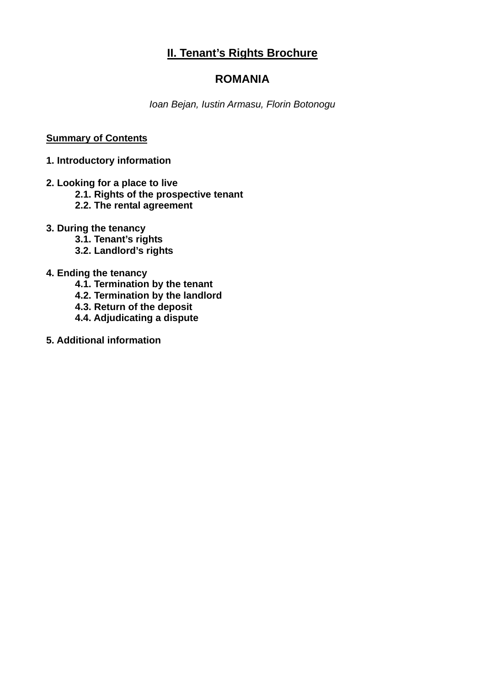# **II. Tenant's Rights Brochure**

## **ROMANIA**

*Ioan Bejan, Iustin Armasu, Florin Botonogu* 

#### **Summary of Contents**

#### **1. Introductory information**

- **2. Looking for a place to live** 
	- **2.1. Rights of the prospective tenant**
	- **2.2. The rental agreement**
- **3. During the tenancy** 
	- **3.1. Tenant's rights**
	- **3.2. Landlord's rights**
- **4. Ending the tenancy** 
	- **4.1. Termination by the tenant**
	- **4.2. Termination by the landlord**
	- **4.3. Return of the deposit**
	- **4.4. Adjudicating a dispute**
- **5. Additional information**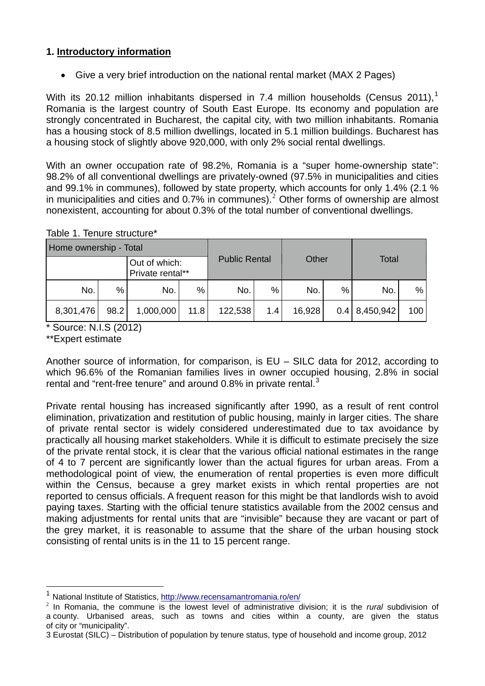### **1. Introductory information**

Give a very brief introduction on the national rental market (MAX 2 Pages)

With its 20.[1](#page-2-0)2 million inhabitants dispersed in 7.4 million households (Census 2011),<sup>1</sup> Romania is the largest country of South East Europe. Its economy and population are strongly concentrated in Bucharest, the capital city, with two million inhabitants. Romania has a housing stock of 8.5 million dwellings, located in 5.1 million buildings. Bucharest has a housing stock of slightly above 920,000, with only 2% social rental dwellings.

With an owner occupation rate of 98.2%, Romania is a "super home-ownership state": 98.2% of all conventional dwellings are privately-owned (97.5% in municipalities and cities and 99.1% in communes), followed by state property, which accounts for only 1.4% (2.1 % in municipalities and cities and 0.7% in communes).<sup>[2](#page-2-1)</sup> Other forms of ownership are almost nonexistent, accounting for about 0.3% of the total number of conventional dwellings.

| Home ownership - Total |      |                                   |      |                      |     |        |   |                 |     |
|------------------------|------|-----------------------------------|------|----------------------|-----|--------|---|-----------------|-----|
|                        |      | Out of which:<br>Private rental** |      | <b>Public Rental</b> |     | Other  |   | <b>Total</b>    |     |
| No.                    | %    | No.                               | %    | No.                  | %   | No.    | % | No.             | %   |
| 8,301,476              | 98.2 | 1,000,000                         | 11.8 | 122,538              | 1.4 | 16,928 |   | $0.4$ 8,450,942 | 100 |

#### Table 1. Tenure structure\*

\* Source: N.I.S (2012)

\*\*Expert estimate

 $\overline{a}$ 

Another source of information, for comparison, is EU – SILC data for 2012, according to which 96.6% of the Romanian families lives in owner occupied housing, 2.8% in social rental and "rent-free tenure" and around 0.8% in private rental.<sup>[3](#page-2-2)</sup>

Private rental housing has increased significantly after 1990, as a result of rent control elimination, privatization and restitution of public housing, mainly in larger cities. The share of private rental sector is widely considered underestimated due to tax avoidance by practically all housing market stakeholders. While it is difficult to estimate precisely the size of the private rental stock, it is clear that the various official national estimates in the range of 4 to 7 percent are significantly lower than the actual figures for urban areas. From a methodological point of view, the enumeration of rental properties is even more difficult within the Census, because a grey market exists in which rental properties are not reported to census officials. A frequent reason for this might be that landlords wish to avoid paying taxes. Starting with the official tenure statistics available from the 2002 census and making adjustments for rental units that are "invisible" because they are vacant or part of the grey market, it is reasonable to assume that the share of the urban housing stock consisting of rental units is in the 11 to 15 percent range.

<span id="page-2-0"></span><sup>1</sup> National Institute of Statistics, <http://www.recensamantromania.ro/en/>

<span id="page-2-1"></span><sup>2</sup> In Romania, the commune is the lowest level of administrative division; it is the *rural* subdivision of a [county.](http://en.wikipedia.org/wiki/Counties_of_Romania) Urbanised areas, such as towns and cities within a county, are given the status of [city](http://en.wikipedia.org/wiki/Cities_in_Romania) or "[municipality"](http://en.wikipedia.org/wiki/Municipality_in_Romania).

<span id="page-2-2"></span><sup>3</sup> Eurostat (SILC) – Distribution of population by tenure status, type of household and income group, 2012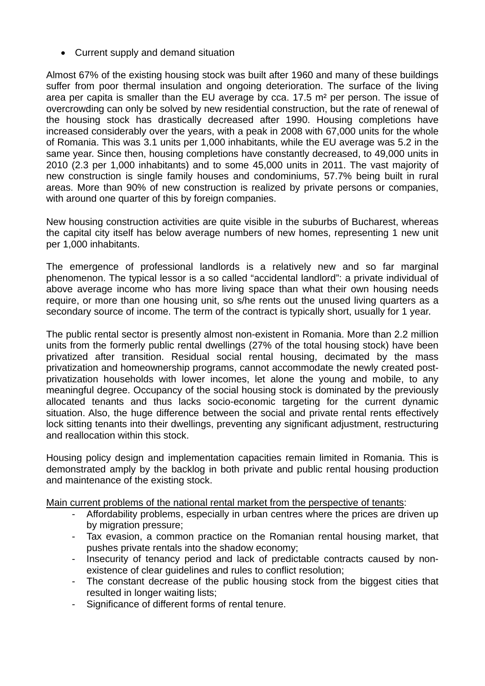• Current supply and demand situation

Almost 67% of the existing housing stock was built after 1960 and many of these buildings suffer from poor thermal insulation and ongoing deterioration. The surface of the living area per capita is smaller than the EU average by cca. 17.5 m² per person. The issue of overcrowding can only be solved by new residential construction, but the rate of renewal of the housing stock has drastically decreased after 1990. Housing completions have increased considerably over the years, with a peak in 2008 with 67,000 units for the whole of Romania. This was 3.1 units per 1,000 inhabitants, while the EU average was 5.2 in the same year. Since then, housing completions have constantly decreased, to 49,000 units in 2010 (2.3 per 1,000 inhabitants) and to some 45,000 units in 2011. The vast majority of new construction is single family houses and condominiums, 57.7% being built in rural areas. More than 90% of new construction is realized by private persons or companies, with around one quarter of this by foreign companies.

New housing construction activities are quite visible in the suburbs of Bucharest, whereas the capital city itself has below average numbers of new homes, representing 1 new unit per 1,000 inhabitants.

The emergence of professional landlords is a relatively new and so far marginal phenomenon. The typical lessor is a so called "accidental landlord": a private individual of above average income who has more living space than what their own housing needs require, or more than one housing unit, so s/he rents out the unused living quarters as a secondary source of income. The term of the contract is typically short, usually for 1 year.

The public rental sector is presently almost non-existent in Romania. More than 2.2 million units from the formerly public rental dwellings (27% of the total housing stock) have been privatized after transition. Residual social rental housing, decimated by the mass privatization and homeownership programs, cannot accommodate the newly created postprivatization households with lower incomes, let alone the young and mobile, to any meaningful degree. Occupancy of the social housing stock is dominated by the previously allocated tenants and thus lacks socio-economic targeting for the current dynamic situation. Also, the huge difference between the social and private rental rents effectively lock sitting tenants into their dwellings, preventing any significant adjustment, restructuring and reallocation within this stock.

Housing policy design and implementation capacities remain limited in Romania. This is demonstrated amply by the backlog in both private and public rental housing production and maintenance of the existing stock.

Main current problems of the national rental market from the perspective of tenants:

- Affordability problems, especially in urban centres where the prices are driven up by migration pressure;
- Tax evasion, a common practice on the Romanian rental housing market, that pushes private rentals into the shadow economy;
- Insecurity of tenancy period and lack of predictable contracts caused by nonexistence of clear guidelines and rules to conflict resolution;
- The constant decrease of the public housing stock from the biggest cities that resulted in longer waiting lists;
- Significance of different forms of rental tenure.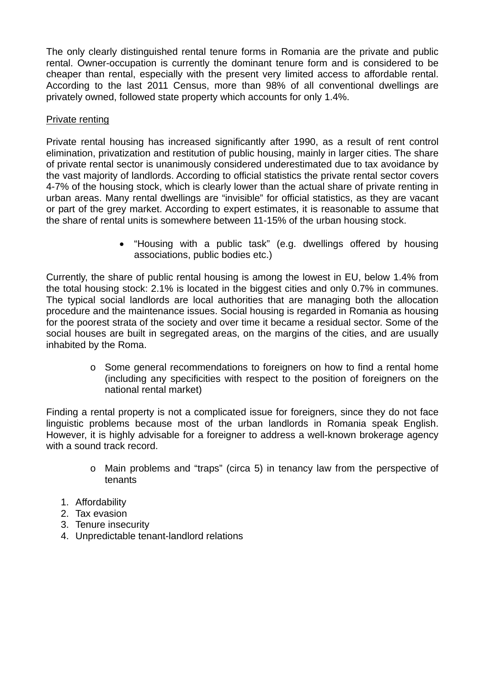The only clearly distinguished rental tenure forms in Romania are the private and public rental. Owner-occupation is currently the dominant tenure form and is considered to be cheaper than rental, especially with the present very limited access to affordable rental. According to the last 2011 Census, more than 98% of all conventional dwellings are privately owned, followed state property which accounts for only 1.4%.

#### Private renting

Private rental housing has increased significantly after 1990, as a result of rent control elimination, privatization and restitution of public housing, mainly in larger cities. The share of private rental sector is unanimously considered underestimated due to tax avoidance by the vast majority of landlords. According to official statistics the private rental sector covers 4-7% of the housing stock, which is clearly lower than the actual share of private renting in urban areas. Many rental dwellings are "invisible" for official statistics, as they are vacant or part of the grey market. According to expert estimates, it is reasonable to assume that the share of rental units is somewhere between 11-15% of the urban housing stock.

> "Housing with a public task" (e.g. dwellings offered by housing associations, public bodies etc.)

Currently, the share of public rental housing is among the lowest in EU, below 1.4% from the total housing stock: 2.1% is located in the biggest cities and only 0.7% in communes. The typical social landlords are local authorities that are managing both the allocation procedure and the maintenance issues. Social housing is regarded in Romania as housing for the poorest strata of the society and over time it became a residual sector. Some of the social houses are built in segregated areas, on the margins of the cities, and are usually inhabited by the Roma.

> o Some general recommendations to foreigners on how to find a rental home (including any specificities with respect to the position of foreigners on the national rental market)

Finding a rental property is not a complicated issue for foreigners, since they do not face linguistic problems because most of the urban landlords in Romania speak English. However, it is highly advisable for a foreigner to address a well-known brokerage agency with a sound track record.

- o Main problems and "traps" (circa 5) in tenancy law from the perspective of tenants
- 1. Affordability
- 2. Tax evasion
- 3. Tenure insecurity
- 4. Unpredictable tenant-landlord relations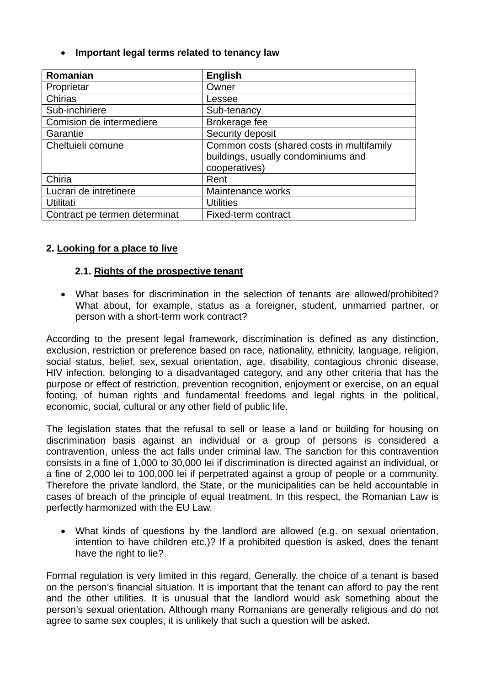**Important legal terms related to tenancy law**

| Romanian                      | <b>English</b>                            |  |  |  |  |
|-------------------------------|-------------------------------------------|--|--|--|--|
| Proprietar                    | Owner                                     |  |  |  |  |
| Chirias                       | Lessee                                    |  |  |  |  |
| Sub-inchiriere                | Sub-tenancy                               |  |  |  |  |
| Comision de intermediere      | Brokerage fee                             |  |  |  |  |
| Garantie                      | Security deposit                          |  |  |  |  |
| Cheltuieli comune             | Common costs (shared costs in multifamily |  |  |  |  |
|                               | buildings, usually condominiums and       |  |  |  |  |
|                               | cooperatives)                             |  |  |  |  |
| Chiria                        | Rent                                      |  |  |  |  |
| Lucrari de intretinere        | Maintenance works                         |  |  |  |  |
| Utilitati                     | <b>Utilities</b>                          |  |  |  |  |
| Contract pe termen determinat | Fixed-term contract                       |  |  |  |  |

#### **2. Looking for a place to live**

#### **2.1. Rights of the prospective tenant**

 What bases for discrimination in the selection of tenants are allowed/prohibited? What about, for example, status as a foreigner, student, unmarried partner, or person with a short-term work contract?

According to the present legal framework, discrimination is defined as any distinction, exclusion, restriction or preference based on race, nationality, ethnicity, language, religion, social status, belief, sex, sexual orientation, age, disability, contagious chronic disease, HIV infection, belonging to a disadvantaged category, and any other criteria that has the purpose or effect of restriction, prevention recognition, enjoyment or exercise, on an equal footing, of human rights and fundamental freedoms and legal rights in the political, economic, social, cultural or any other field of public life.

The legislation states that the refusal to sell or lease a land or building for housing on discrimination basis against an individual or a group of persons is considered a contravention, unless the act falls under criminal law. The sanction for this contravention consists in a fine of 1,000 to 30,000 lei if discrimination is directed against an individual, or a fine of 2,000 lei to 100,000 lei if perpetrated against a group of people or a community. Therefore the private landlord, the State, or the municipalities can be held accountable in cases of breach of the principle of equal treatment. In this respect, the Romanian Law is perfectly harmonized with the EU Law.

 What kinds of questions by the landlord are allowed (e.g. on sexual orientation, intention to have children etc.)? If a prohibited question is asked, does the tenant have the right to lie?

Formal regulation is very limited in this regard. Generally, the choice of a tenant is based on the person's financial situation. It is important that the tenant can afford to pay the rent and the other utilities. It is unusual that the landlord would ask something about the person's sexual orientation. Although many Romanians are generally religious and do not agree to same sex couples, it is unlikely that such a question will be asked.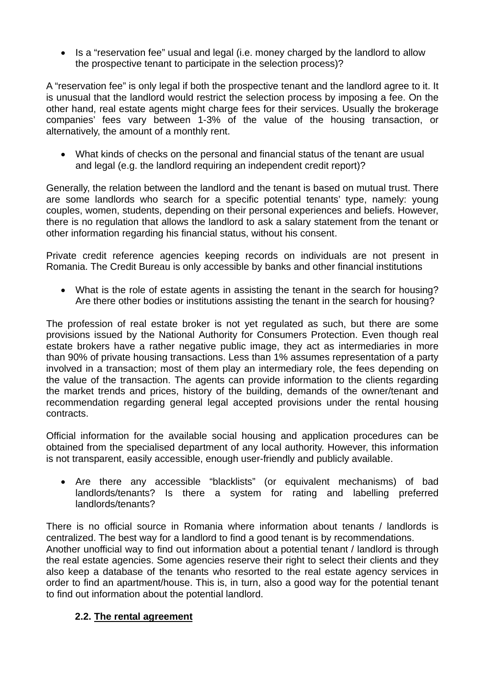Is a "reservation fee" usual and legal (i.e. money charged by the landlord to allow the prospective tenant to participate in the selection process)?

A "reservation fee" is only legal if both the prospective tenant and the landlord agree to it. It is unusual that the landlord would restrict the selection process by imposing a fee. On the other hand, real estate agents might charge fees for their services. Usually the brokerage companies' fees vary between 1-3% of the value of the housing transaction, or alternatively, the amount of a monthly rent.

 What kinds of checks on the personal and financial status of the tenant are usual and legal (e.g. the landlord requiring an independent credit report)?

Generally, the relation between the landlord and the tenant is based on mutual trust. There are some landlords who search for a specific potential tenants' type, namely: young couples, women, students, depending on their personal experiences and beliefs. However, there is no regulation that allows the landlord to ask a salary statement from the tenant or other information regarding his financial status, without his consent.

Private credit reference agencies keeping records on individuals are not present in Romania. The Credit Bureau is only accessible by banks and other financial institutions

 What is the role of estate agents in assisting the tenant in the search for housing? Are there other bodies or institutions assisting the tenant in the search for housing?

The profession of real estate broker is not yet regulated as such, but there are some provisions issued by the National Authority for Consumers Protection. Even though real estate brokers have a rather negative public image, they act as intermediaries in more than 90% of private housing transactions. Less than 1% assumes representation of a party involved in a transaction; most of them play an intermediary role, the fees depending on the value of the transaction. The agents can provide information to the clients regarding the market trends and prices, history of the building, demands of the owner/tenant and recommendation regarding general legal accepted provisions under the rental housing contracts.

Official information for the available social housing and application procedures can be obtained from the specialised department of any local authority. However, this information is not transparent, easily accessible, enough user-friendly and publicly available.

 Are there any accessible "blacklists" (or equivalent mechanisms) of bad landlords/tenants? Is there a system for rating and labelling preferred landlords/tenants?

There is no official source in Romania where information about tenants / landlords is centralized. The best way for a landlord to find a good tenant is by recommendations. Another unofficial way to find out information about a potential tenant / landlord is through the real estate agencies. Some agencies reserve their right to select their clients and they also keep a database of the tenants who resorted to the real estate agency services in order to find an apartment/house. This is, in turn, also a good way for the potential tenant to find out information about the potential landlord.

### **2.2. The rental agreement**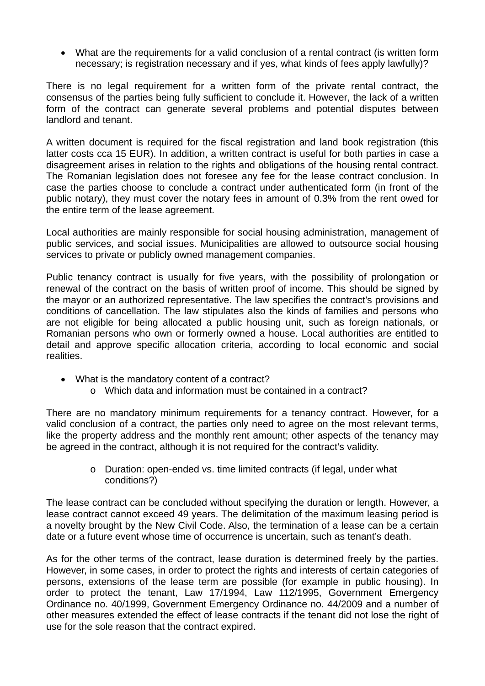What are the requirements for a valid conclusion of a rental contract (is written form necessary; is registration necessary and if yes, what kinds of fees apply lawfully)?

There is no legal requirement for a written form of the private rental contract, the consensus of the parties being fully sufficient to conclude it. However, the lack of a written form of the contract can generate several problems and potential disputes between landlord and tenant.

A written document is required for the fiscal registration and land book registration (this latter costs cca 15 EUR). In addition, a written contract is useful for both parties in case a disagreement arises in relation to the rights and obligations of the housing rental contract. The Romanian legislation does not foresee any fee for the lease contract conclusion. In case the parties choose to conclude a contract under authenticated form (in front of the public notary), they must cover the notary fees in amount of 0.3% from the rent owed for the entire term of the lease agreement.

Local authorities are mainly responsible for social housing administration, management of public services, and social issues. Municipalities are allowed to outsource social housing services to private or publicly owned management companies.

Public tenancy contract is usually for five years, with the possibility of prolongation or renewal of the contract on the basis of written proof of income. This should be signed by the mayor or an authorized representative. The law specifies the contract's provisions and conditions of cancellation. The law stipulates also the kinds of families and persons who are not eligible for being allocated a public housing unit, such as foreign nationals, or Romanian persons who own or formerly owned a house. Local authorities are entitled to detail and approve specific allocation criteria, according to local economic and social realities.

- What is the mandatory content of a contract?
	- o Which data and information must be contained in a contract?

There are no mandatory minimum requirements for a tenancy contract. However, for a valid conclusion of a contract, the parties only need to agree on the most relevant terms, like the property address and the monthly rent amount; other aspects of the tenancy may be agreed in the contract, although it is not required for the contract's validity.

> o Duration: open-ended vs. time limited contracts (if legal, under what conditions?)

The lease contract can be concluded without specifying the duration or length. However, a lease contract cannot exceed 49 years. The delimitation of the maximum leasing period is a novelty brought by the New Civil Code. Also, the termination of a lease can be a certain date or a future event whose time of occurrence is uncertain, such as tenant's death.

As for the other terms of the contract, lease duration is determined freely by the parties. However, in some cases, in order to protect the rights and interests of certain categories of persons, extensions of the lease term are possible (for example in public housing). In order to protect the tenant, Law 17/1994, Law 112/1995, Government Emergency Ordinance no. 40/1999, Government Emergency Ordinance no. 44/2009 and a number of other measures extended the effect of lease contracts if the tenant did not lose the right of use for the sole reason that the contract expired.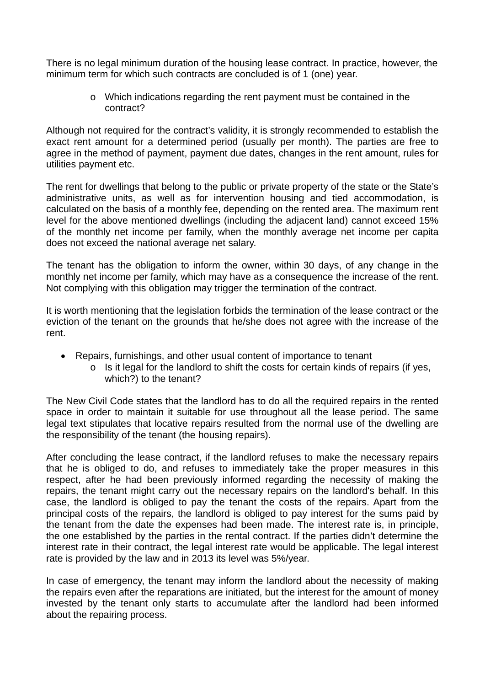There is no legal minimum duration of the housing lease contract. In practice, however, the minimum term for which such contracts are concluded is of 1 (one) year.

> o Which indications regarding the rent payment must be contained in the contract?

Although not required for the contract's validity, it is strongly recommended to establish the exact rent amount for a determined period (usually per month). The parties are free to agree in the method of payment, payment due dates, changes in the rent amount, rules for utilities payment etc.

The rent for dwellings that belong to the public or private property of the state or the State's administrative units, as well as for intervention housing and tied accommodation, is calculated on the basis of a monthly fee, depending on the rented area. The maximum rent level for the above mentioned dwellings (including the adjacent land) cannot exceed 15% of the monthly net income per family, when the monthly average net income per capita does not exceed the national average net salary.

The tenant has the obligation to inform the owner, within 30 days, of any change in the monthly net income per family, which may have as a consequence the increase of the rent. Not complying with this obligation may trigger the termination of the contract.

It is worth mentioning that the legislation forbids the termination of the lease contract or the eviction of the tenant on the grounds that he/she does not agree with the increase of the rent.

- Repairs, furnishings, and other usual content of importance to tenant
	- o Is it legal for the landlord to shift the costs for certain kinds of repairs (if yes, which?) to the tenant?

The New Civil Code states that the landlord has to do all the required repairs in the rented space in order to maintain it suitable for use throughout all the lease period. The same legal text stipulates that locative repairs resulted from the normal use of the dwelling are the responsibility of the tenant (the housing repairs).

After concluding the lease contract, if the landlord refuses to make the necessary repairs that he is obliged to do, and refuses to immediately take the proper measures in this respect, after he had been previously informed regarding the necessity of making the repairs, the tenant might carry out the necessary repairs on the landlord's behalf. In this case, the landlord is obliged to pay the tenant the costs of the repairs. Apart from the principal costs of the repairs, the landlord is obliged to pay interest for the sums paid by the tenant from the date the expenses had been made. The interest rate is, in principle, the one established by the parties in the rental contract. If the parties didn't determine the interest rate in their contract, the legal interest rate would be applicable. The legal interest rate is provided by the law and in 2013 its level was 5%/year.

In case of emergency, the tenant may inform the landlord about the necessity of making the repairs even after the reparations are initiated, but the interest for the amount of money invested by the tenant only starts to accumulate after the landlord had been informed about the repairing process.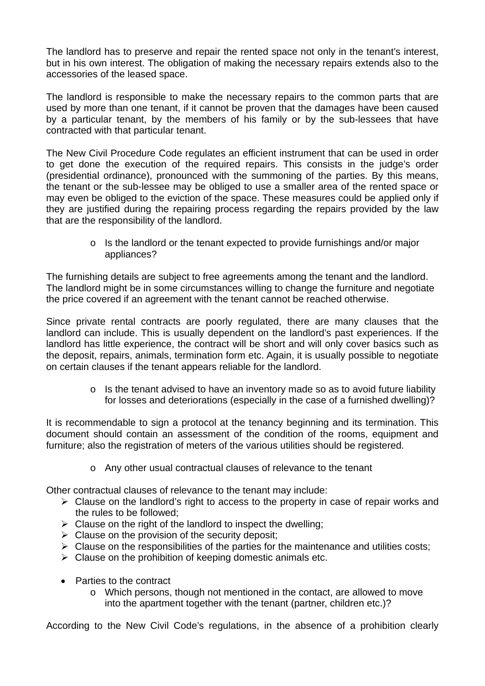The landlord has to preserve and repair the rented space not only in the tenant's interest, but in his own interest. The obligation of making the necessary repairs extends also to the accessories of the leased space.

The landlord is responsible to make the necessary repairs to the common parts that are used by more than one tenant, if it cannot be proven that the damages have been caused by a particular tenant, by the members of his family or by the sub-lessees that have contracted with that particular tenant.

The New Civil Procedure Code regulates an efficient instrument that can be used in order to get done the execution of the required repairs. This consists in the judge's order (presidential ordinance), pronounced with the summoning of the parties. By this means, the tenant or the sub-lessee may be obliged to use a smaller area of the rented space or may even be obliged to the eviction of the space. These measures could be applied only if they are justified during the repairing process regarding the repairs provided by the law that are the responsibility of the landlord.

> o Is the landlord or the tenant expected to provide furnishings and/or major appliances?

The furnishing details are subject to free agreements among the tenant and the landlord. The landlord might be in some circumstances willing to change the furniture and negotiate the price covered if an agreement with the tenant cannot be reached otherwise.

Since private rental contracts are poorly regulated, there are many clauses that the landlord can include. This is usually dependent on the landlord's past experiences. If the landlord has little experience, the contract will be short and will only cover basics such as the deposit, repairs, animals, termination form etc. Again, it is usually possible to negotiate on certain clauses if the tenant appears reliable for the landlord.

> o Is the tenant advised to have an inventory made so as to avoid future liability for losses and deteriorations (especially in the case of a furnished dwelling)?

It is recommendable to sign a protocol at the tenancy beginning and its termination. This document should contain an assessment of the condition of the rooms, equipment and furniture; also the registration of meters of the various utilities should be registered.

o Any other usual contractual clauses of relevance to the tenant

Other contractual clauses of relevance to the tenant may include:

- Clause on the landlord's right to access to the property in case of repair works and the rules to be followed;
- $\triangleright$  Clause on the right of the landlord to inspect the dwelling:
- $\triangleright$  Clause on the provision of the security deposit;
- $\triangleright$  Clause on the responsibilities of the parties for the maintenance and utilities costs;
- $\triangleright$  Clause on the prohibition of keeping domestic animals etc.
- Parties to the contract
	- o Which persons, though not mentioned in the contact, are allowed to move into the apartment together with the tenant (partner, children etc.)?

According to the New Civil Code's regulations, in the absence of a prohibition clearly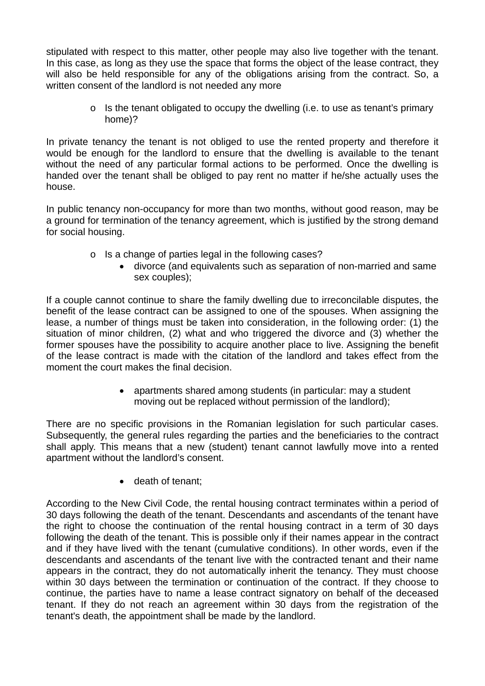stipulated with respect to this matter, other people may also live together with the tenant. In this case, as long as they use the space that forms the object of the lease contract, they will also be held responsible for any of the obligations arising from the contract. So, a written consent of the landlord is not needed any more

> $\circ$  Is the tenant obligated to occupy the dwelling (i.e. to use as tenant's primary home)?

In private tenancy the tenant is not obliged to use the rented property and therefore it would be enough for the landlord to ensure that the dwelling is available to the tenant without the need of any particular formal actions to be performed. Once the dwelling is handed over the tenant shall be obliged to pay rent no matter if he/she actually uses the house.

In public tenancy non-occupancy for more than two months, without good reason, may be a ground for termination of the tenancy agreement, which is justified by the strong demand for social housing.

- o Is a change of parties legal in the following cases?
	- divorce (and equivalents such as separation of non-married and same sex couples);

If a couple cannot continue to share the family dwelling due to irreconcilable disputes, the benefit of the lease contract can be assigned to one of the spouses. When assigning the lease, a number of things must be taken into consideration, in the following order: (1) the situation of minor children, (2) what and who triggered the divorce and (3) whether the former spouses have the possibility to acquire another place to live. Assigning the benefit of the lease contract is made with the citation of the landlord and takes effect from the moment the court makes the final decision.

> apartments shared among students (in particular: may a student moving out be replaced without permission of the landlord);

There are no specific provisions in the Romanian legislation for such particular cases. Subsequently, the general rules regarding the parties and the beneficiaries to the contract shall apply. This means that a new (student) tenant cannot lawfully move into a rented apartment without the landlord's consent.

• death of tenant;

According to the New Civil Code, the rental housing contract terminates within a period of 30 days following the death of the tenant. Descendants and ascendants of the tenant have the right to choose the continuation of the rental housing contract in a term of 30 days following the death of the tenant. This is possible only if their names appear in the contract and if they have lived with the tenant (cumulative conditions). In other words, even if the descendants and ascendants of the tenant live with the contracted tenant and their name appears in the contract, they do not automatically inherit the tenancy. They must choose within 30 days between the termination or continuation of the contract. If they choose to continue, the parties have to name a lease contract signatory on behalf of the deceased tenant. If they do not reach an agreement within 30 days from the registration of the tenant's death, the appointment shall be made by the landlord.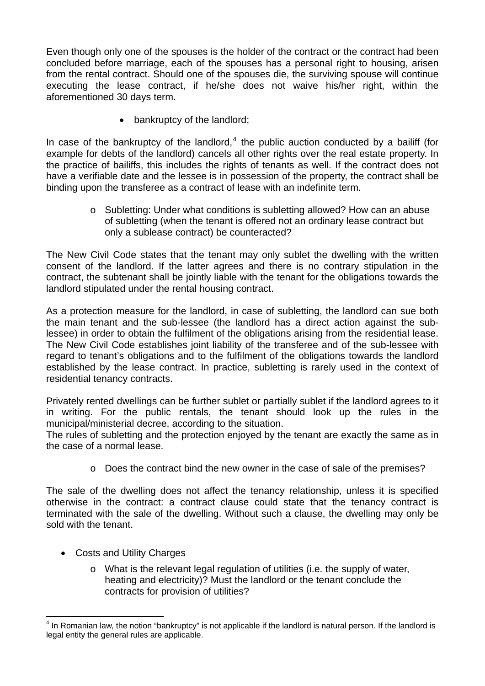Even though only one of the spouses is the holder of the contract or the contract had been concluded before marriage, each of the spouses has a personal right to housing, arisen from the rental contract. Should one of the spouses die, the surviving spouse will continue executing the lease contract, if he/she does not waive his/her right, within the aforementioned 30 days term.

• bankruptcy of the landlord;

In case of the bankruptcy of the landlord, $4$  the public auction conducted by a bailiff (for example for debts of the landlord) cancels all other rights over the real estate property. In the practice of bailiffs, this includes the rights of tenants as well. If the contract does not have a verifiable date and the lessee is in possession of the property, the contract shall be binding upon the transferee as a contract of lease with an indefinite term.

> o Subletting: Under what conditions is subletting allowed? How can an abuse of subletting (when the tenant is offered not an ordinary lease contract but only a sublease contract) be counteracted?

The New Civil Code states that the tenant may only sublet the dwelling with the written consent of the landlord. If the latter agrees and there is no contrary stipulation in the contract, the subtenant shall be jointly liable with the tenant for the obligations towards the landlord stipulated under the rental housing contract.

As a protection measure for the landlord, in case of subletting, the landlord can sue both the main tenant and the sub-lessee (the landlord has a direct action against the sublessee) in order to obtain the fulfilment of the obligations arising from the residential lease. The New Civil Code establishes joint liability of the transferee and of the sub-lessee with regard to tenant's obligations and to the fulfilment of the obligations towards the landlord established by the lease contract. In practice, subletting is rarely used in the context of residential tenancy contracts.

Privately rented dwellings can be further sublet or partially sublet if the landlord agrees to it in writing. For the public rentals, the tenant should look up the rules in the municipal/ministerial decree, according to the situation.

The rules of subletting and the protection enjoyed by the tenant are exactly the same as in the case of a normal lease.

o Does the contract bind the new owner in the case of sale of the premises?

The sale of the dwelling does not affect the tenancy relationship, unless it is specified otherwise in the contract: a contract clause could state that the tenancy contract is terminated with the sale of the dwelling. Without such a clause, the dwelling may only be sold with the tenant.

- Costs and Utility Charges
	- o What is the relevant legal regulation of utilities (i.e. the supply of water, heating and electricity)? Must the landlord or the tenant conclude the contracts for provision of utilities?

<span id="page-11-0"></span> 4 In Romanian law, the notion "bankruptcy" is not applicable if the landlord is natural person. If the landlord is legal entity the general rules are applicable.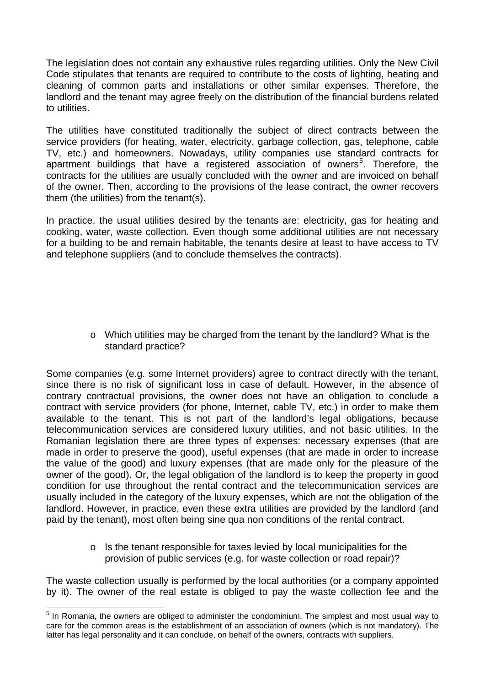The legislation does not contain any exhaustive rules regarding utilities. Only the New Civil Code stipulates that tenants are required to contribute to the costs of lighting, heating and cleaning of common parts and installations or other similar expenses. Therefore, the landlord and the tenant may agree freely on the distribution of the financial burdens related to utilities.

The utilities have constituted traditionally the subject of direct contracts between the service providers (for heating, water, electricity, garbage collection, gas, telephone, cable TV, etc.) and homeowners. Nowadays, utility companies use standard contracts for apartment buildings that have a registered association of owners<sup>[5](#page-12-0)</sup>. Therefore, the contracts for the utilities are usually concluded with the owner and are invoiced on behalf of the owner. Then, according to the provisions of the lease contract, the owner recovers them (the utilities) from the tenant(s).

In practice, the usual utilities desired by the tenants are: electricity, gas for heating and cooking, water, waste collection. Even though some additional utilities are not necessary for a building to be and remain habitable, the tenants desire at least to have access to TV and telephone suppliers (and to conclude themselves the contracts).

> o Which utilities may be charged from the tenant by the landlord? What is the standard practice?

Some companies (e.g. some Internet providers) agree to contract directly with the tenant, since there is no risk of significant loss in case of default. However, in the absence of contrary contractual provisions, the owner does not have an obligation to conclude a contract with service providers (for phone, Internet, cable TV, etc.) in order to make them available to the tenant. This is not part of the landlord's legal obligations, because telecommunication services are considered luxury utilities, and not basic utilities. In the Romanian legislation there are three types of expenses: necessary expenses (that are made in order to preserve the good), useful expenses (that are made in order to increase the value of the good) and luxury expenses (that are made only for the pleasure of the owner of the good). Or, the legal obligation of the landlord is to keep the property in good condition for use throughout the rental contract and the telecommunication services are usually included in the category of the luxury expenses, which are not the obligation of the landlord. However, in practice, even these extra utilities are provided by the landlord (and paid by the tenant), most often being sine qua non conditions of the rental contract.

> o Is the tenant responsible for taxes levied by local municipalities for the provision of public services (e.g. for waste collection or road repair)?

The waste collection usually is performed by the local authorities (or a company appointed by it). The owner of the real estate is obliged to pay the waste collection fee and the

 $\overline{a}$ 

<span id="page-12-0"></span><sup>&</sup>lt;sup>5</sup> In Romania, the owners are obliged to administer the condominium. The simplest and most usual way to care for the common areas is the establishment of an association of owners (which is not mandatory). The latter has legal personality and it can conclude, on behalf of the owners, contracts with suppliers.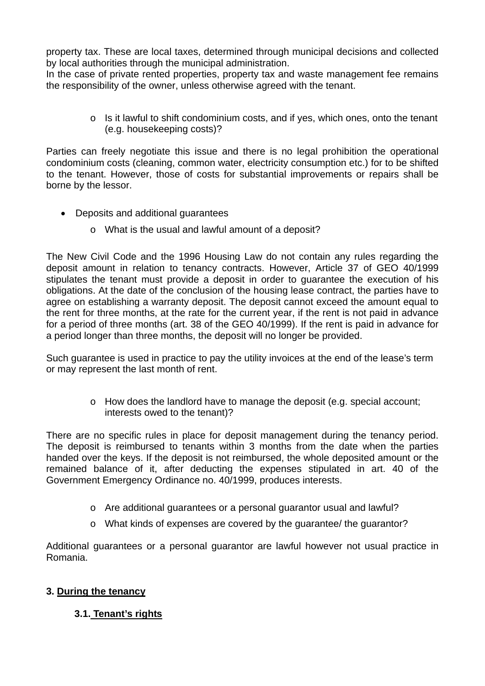property tax. These are local taxes, determined through municipal decisions and collected by local authorities through the municipal administration.

In the case of private rented properties, property tax and waste management fee remains the responsibility of the owner, unless otherwise agreed with the tenant.

> o Is it lawful to shift condominium costs, and if yes, which ones, onto the tenant (e.g. housekeeping costs)?

Parties can freely negotiate this issue and there is no legal prohibition the operational condominium costs (cleaning, common water, electricity consumption etc.) for to be shifted to the tenant. However, those of costs for substantial improvements or repairs shall be borne by the lessor.

- Deposits and additional guarantees
	- o What is the usual and lawful amount of a deposit?

The New Civil Code and the 1996 Housing Law do not contain any rules regarding the deposit amount in relation to tenancy contracts. However, Article 37 of GEO 40/1999 stipulates the tenant must provide a deposit in order to guarantee the execution of his obligations. At the date of the conclusion of the housing lease contract, the parties have to agree on establishing a warranty deposit. The deposit cannot exceed the amount equal to the rent for three months, at the rate for the current year, if the rent is not paid in advance for a period of three months (art. 38 of the GEO 40/1999). If the rent is paid in advance for a period longer than three months, the deposit will no longer be provided.

Such guarantee is used in practice to pay the utility invoices at the end of the lease's term or may represent the last month of rent.

> o How does the landlord have to manage the deposit (e.g. special account; interests owed to the tenant)?

There are no specific rules in place for deposit management during the tenancy period. The deposit is reimbursed to tenants within 3 months from the date when the parties handed over the keys. If the deposit is not reimbursed, the whole deposited amount or the remained balance of it, after deducting the expenses stipulated in art. 40 of the Government Emergency Ordinance no. 40/1999, produces interests.

- o Are additional guarantees or a personal guarantor usual and lawful?
- o What kinds of expenses are covered by the guarantee/ the guarantor?

Additional guarantees or a personal guarantor are lawful however not usual practice in Romania.

### **3. During the tenancy**

### **3.1. Tenant's rights**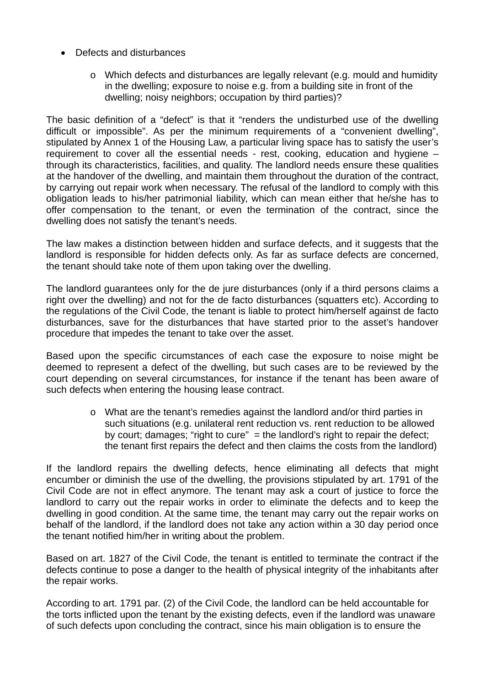- Defects and disturbances
	- o Which defects and disturbances are legally relevant (e.g. mould and humidity in the dwelling; exposure to noise e.g. from a building site in front of the dwelling; noisy neighbors; occupation by third parties)?

The basic definition of a "defect" is that it "renders the undisturbed use of the dwelling difficult or impossible". As per the minimum requirements of a "convenient dwelling", stipulated by Annex 1 of the Housing Law, a particular living space has to satisfy the user's requirement to cover all the essential needs - rest, cooking, education and hygiene – through its characteristics, facilities, and quality. The landlord needs ensure these qualities at the handover of the dwelling, and maintain them throughout the duration of the contract, by carrying out repair work when necessary. The refusal of the landlord to comply with this obligation leads to his/her patrimonial liability, which can mean either that he/she has to offer compensation to the tenant, or even the termination of the contract, since the dwelling does not satisfy the tenant's needs.

The law makes a distinction between hidden and surface defects, and it suggests that the landlord is responsible for hidden defects only. As far as surface defects are concerned, the tenant should take note of them upon taking over the dwelling.

The landlord guarantees only for the de jure disturbances (only if a third persons claims a right over the dwelling) and not for the de facto disturbances (squatters etc). According to the regulations of the Civil Code, the tenant is liable to protect him/herself against de facto disturbances, save for the disturbances that have started prior to the asset's handover procedure that impedes the tenant to take over the asset.

Based upon the specific circumstances of each case the exposure to noise might be deemed to represent a defect of the dwelling, but such cases are to be reviewed by the court depending on several circumstances, for instance if the tenant has been aware of such defects when entering the housing lease contract.

> o What are the tenant's remedies against the landlord and/or third parties in such situations (e.g. unilateral rent reduction vs. rent reduction to be allowed by court; damages; "right to cure" = the landlord's right to repair the defect; the tenant first repairs the defect and then claims the costs from the landlord)

If the landlord repairs the dwelling defects, hence eliminating all defects that might encumber or diminish the use of the dwelling, the provisions stipulated by art. 1791 of the Civil Code are not in effect anymore. The tenant may ask a court of justice to force the landlord to carry out the repair works in order to eliminate the defects and to keep the dwelling in good condition. At the same time, the tenant may carry out the repair works on behalf of the landlord, if the landlord does not take any action within a 30 day period once the tenant notified him/her in writing about the problem.

Based on art. 1827 of the Civil Code, the tenant is entitled to terminate the contract if the defects continue to pose a danger to the health of physical integrity of the inhabitants after the repair works.

According to art. 1791 par. (2) of the Civil Code, the landlord can be held accountable for the torts inflicted upon the tenant by the existing defects, even if the landlord was unaware of such defects upon concluding the contract, since his main obligation is to ensure the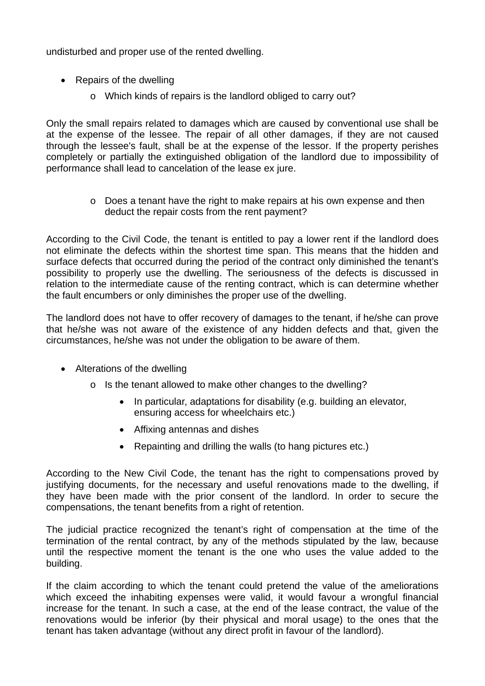undisturbed and proper use of the rented dwelling.

- Repairs of the dwelling
	- o Which kinds of repairs is the landlord obliged to carry out?

Only the small repairs related to damages which are caused by conventional use shall be at the expense of the lessee. The repair of all other damages, if they are not caused through the lessee's fault, shall be at the expense of the lessor. If the property perishes completely or partially the extinguished obligation of the landlord due to impossibility of performance shall lead to cancelation of the lease ex jure.

> o Does a tenant have the right to make repairs at his own expense and then deduct the repair costs from the rent payment?

According to the Civil Code, the tenant is entitled to pay a lower rent if the landlord does not eliminate the defects within the shortest time span. This means that the hidden and surface defects that occurred during the period of the contract only diminished the tenant's possibility to properly use the dwelling. The seriousness of the defects is discussed in relation to the intermediate cause of the renting contract, which is can determine whether the fault encumbers or only diminishes the proper use of the dwelling.

The landlord does not have to offer recovery of damages to the tenant, if he/she can prove that he/she was not aware of the existence of any hidden defects and that, given the circumstances, he/she was not under the obligation to be aware of them.

- Alterations of the dwelling
	- o Is the tenant allowed to make other changes to the dwelling?
		- In particular, adaptations for disability (e.g. building an elevator, ensuring access for wheelchairs etc.)
		- Affixing antennas and dishes
		- Repainting and drilling the walls (to hang pictures etc.)

According to the New Civil Code, the tenant has the right to compensations proved by justifying documents, for the necessary and useful renovations made to the dwelling, if they have been made with the prior consent of the landlord. In order to secure the compensations, the tenant benefits from a right of retention.

The judicial practice recognized the tenant's right of compensation at the time of the termination of the rental contract, by any of the methods stipulated by the law, because until the respective moment the tenant is the one who uses the value added to the building.

If the claim according to which the tenant could pretend the value of the ameliorations which exceed the inhabiting expenses were valid, it would favour a wrongful financial increase for the tenant. In such a case, at the end of the lease contract, the value of the renovations would be inferior (by their physical and moral usage) to the ones that the tenant has taken advantage (without any direct profit in favour of the landlord).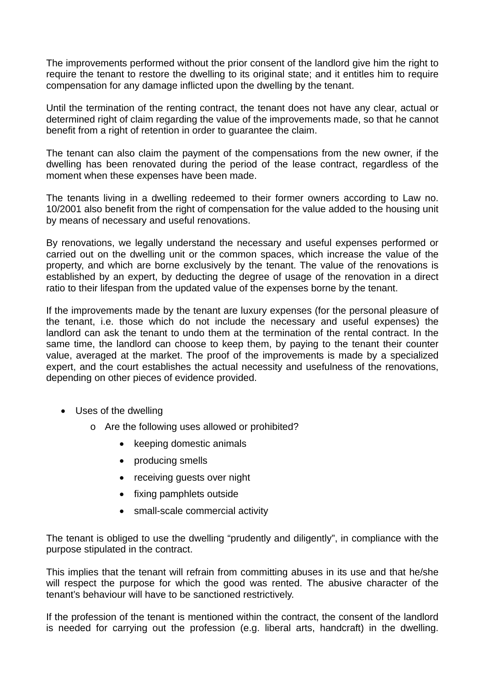The improvements performed without the prior consent of the landlord give him the right to require the tenant to restore the dwelling to its original state; and it entitles him to require compensation for any damage inflicted upon the dwelling by the tenant.

Until the termination of the renting contract, the tenant does not have any clear, actual or determined right of claim regarding the value of the improvements made, so that he cannot benefit from a right of retention in order to guarantee the claim.

The tenant can also claim the payment of the compensations from the new owner, if the dwelling has been renovated during the period of the lease contract, regardless of the moment when these expenses have been made.

The tenants living in a dwelling redeemed to their former owners according to Law no. 10/2001 also benefit from the right of compensation for the value added to the housing unit by means of necessary and useful renovations.

By renovations, we legally understand the necessary and useful expenses performed or carried out on the dwelling unit or the common spaces, which increase the value of the property, and which are borne exclusively by the tenant. The value of the renovations is established by an expert, by deducting the degree of usage of the renovation in a direct ratio to their lifespan from the updated value of the expenses borne by the tenant.

If the improvements made by the tenant are luxury expenses (for the personal pleasure of the tenant, i.e. those which do not include the necessary and useful expenses) the landlord can ask the tenant to undo them at the termination of the rental contract. In the same time, the landlord can choose to keep them, by paying to the tenant their counter value, averaged at the market. The proof of the improvements is made by a specialized expert, and the court establishes the actual necessity and usefulness of the renovations, depending on other pieces of evidence provided.

- Uses of the dwelling
	- o Are the following uses allowed or prohibited?
		- keeping domestic animals
		- producing smells
		- receiving quests over night
		- fixing pamphlets outside
		- small-scale commercial activity

The tenant is obliged to use the dwelling "prudently and diligently", in compliance with the purpose stipulated in the contract.

This implies that the tenant will refrain from committing abuses in its use and that he/she will respect the purpose for which the good was rented. The abusive character of the tenant's behaviour will have to be sanctioned restrictively.

If the profession of the tenant is mentioned within the contract, the consent of the landlord is needed for carrying out the profession (e.g. liberal arts, handcraft) in the dwelling.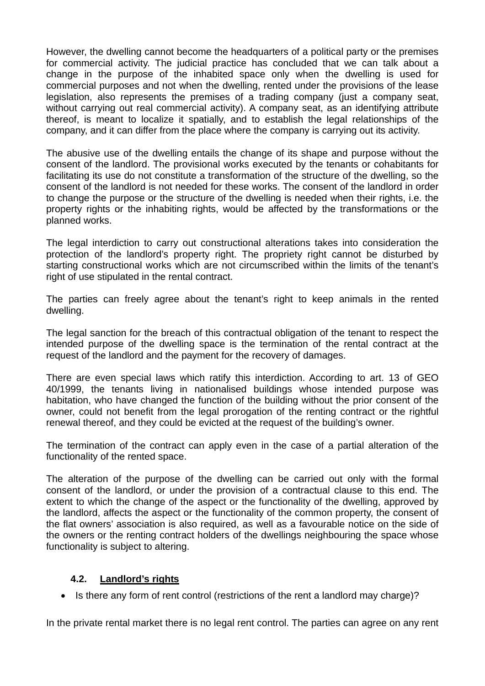However, the dwelling cannot become the headquarters of a political party or the premises for commercial activity. The judicial practice has concluded that we can talk about a change in the purpose of the inhabited space only when the dwelling is used for commercial purposes and not when the dwelling, rented under the provisions of the lease legislation, also represents the premises of a trading company (just a company seat, without carrying out real commercial activity). A company seat, as an identifying attribute thereof, is meant to localize it spatially, and to establish the legal relationships of the company, and it can differ from the place where the company is carrying out its activity.

The abusive use of the dwelling entails the change of its shape and purpose without the consent of the landlord. The provisional works executed by the tenants or cohabitants for facilitating its use do not constitute a transformation of the structure of the dwelling, so the consent of the landlord is not needed for these works. The consent of the landlord in order to change the purpose or the structure of the dwelling is needed when their rights, i.e. the property rights or the inhabiting rights, would be affected by the transformations or the planned works.

The legal interdiction to carry out constructional alterations takes into consideration the protection of the landlord's property right. The propriety right cannot be disturbed by starting constructional works which are not circumscribed within the limits of the tenant's right of use stipulated in the rental contract.

The parties can freely agree about the tenant's right to keep animals in the rented dwelling.

The legal sanction for the breach of this contractual obligation of the tenant to respect the intended purpose of the dwelling space is the termination of the rental contract at the request of the landlord and the payment for the recovery of damages.

There are even special laws which ratify this interdiction. According to art. 13 of GEO 40/1999, the tenants living in nationalised buildings whose intended purpose was habitation, who have changed the function of the building without the prior consent of the owner, could not benefit from the legal prorogation of the renting contract or the rightful renewal thereof, and they could be evicted at the request of the building's owner.

The termination of the contract can apply even in the case of a partial alteration of the functionality of the rented space.

The alteration of the purpose of the dwelling can be carried out only with the formal consent of the landlord, or under the provision of a contractual clause to this end. The extent to which the change of the aspect or the functionality of the dwelling, approved by the landlord, affects the aspect or the functionality of the common property, the consent of the flat owners' association is also required, as well as a favourable notice on the side of the owners or the renting contract holders of the dwellings neighbouring the space whose functionality is subject to altering.

### **4.2. Landlord's rights**

• Is there any form of rent control (restrictions of the rent a landlord may charge)?

In the private rental market there is no legal rent control. The parties can agree on any rent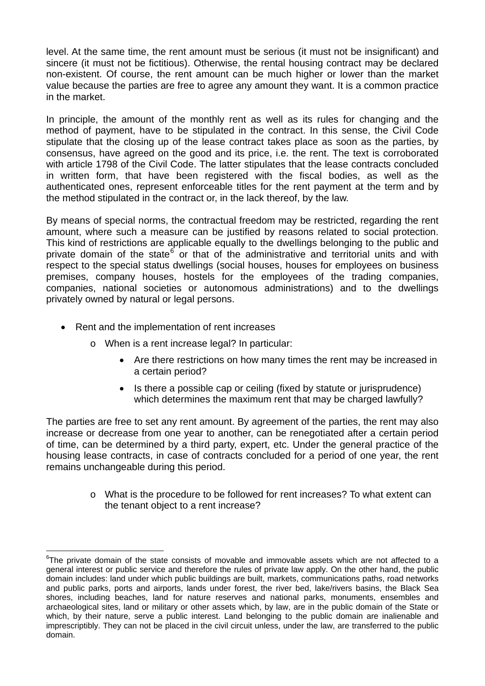level. At the same time, the rent amount must be serious (it must not be insignificant) and sincere (it must not be fictitious). Otherwise, the rental housing contract may be declared non-existent. Of course, the rent amount can be much higher or lower than the market value because the parties are free to agree any amount they want. It is a common practice in the market.

In principle, the amount of the monthly rent as well as its rules for changing and the method of payment, have to be stipulated in the contract. In this sense, the Civil Code stipulate that the closing up of the lease contract takes place as soon as the parties, by consensus, have agreed on the good and its price, i.e. the rent. The text is corroborated with article 1798 of the Civil Code. The latter stipulates that the lease contracts concluded in written form, that have been registered with the fiscal bodies, as well as the authenticated ones, represent enforceable titles for the rent payment at the term and by the method stipulated in the contract or, in the lack thereof, by the law.

By means of special norms, the contractual freedom may be restricted, regarding the rent amount, where such a measure can be justified by reasons related to social protection. This kind of restrictions are applicable equally to the dwellings belonging to the public and private domain of the state<sup>[6](#page-18-0)</sup> or that of the administrative and territorial units and with respect to the special status dwellings (social houses, houses for employees on business premises, company houses, hostels for the employees of the trading companies, companies, national societies or autonomous administrations) and to the dwellings privately owned by natural or legal persons.

- Rent and the implementation of rent increases
	- o When is a rent increase legal? In particular:
		- Are there restrictions on how many times the rent may be increased in a certain period?
		- Is there a possible cap or ceiling (fixed by statute or jurisprudence) which determines the maximum rent that may be charged lawfully?

The parties are free to set any rent amount. By agreement of the parties, the rent may also increase or decrease from one year to another, can be renegotiated after a certain period of time, can be determined by a third party, expert, etc. Under the general practice of the housing lease contracts, in case of contracts concluded for a period of one year, the rent remains unchangeable during this period.

> o What is the procedure to be followed for rent increases? To what extent can the tenant object to a rent increase?

<span id="page-18-0"></span> $\overline{a}$  $6$ The private domain of the state consists of movable and immovable assets which are not affected to a general interest or public service and therefore the rules of private law apply. On the other hand, the public domain includes: land under which public buildings are built, markets, communications paths, road networks and public parks, ports and airports, lands under forest, the river bed, lake/rivers basins, the Black Sea shores, including beaches, land for nature reserves and national parks, monuments, ensembles and archaeological sites, land or military or other assets which, by law, are in the public domain of the State or which, by their nature, serve a public interest. Land belonging to the public domain are inalienable and imprescriptibly. They can not be placed in the civil circuit unless, under the law, are transferred to the public domain.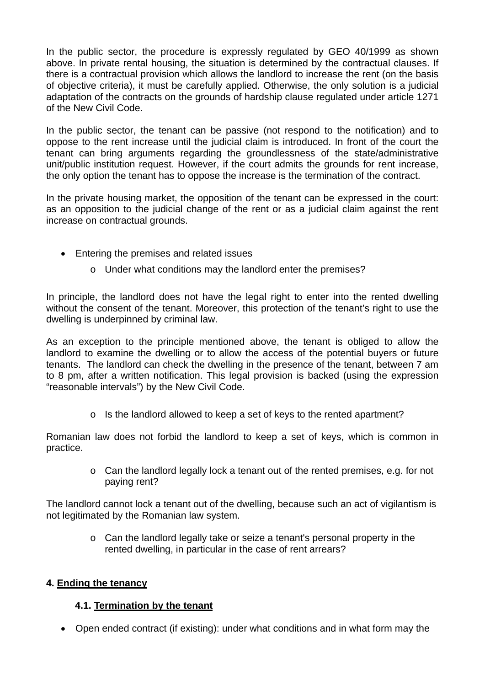In the public sector, the procedure is expressly regulated by GEO 40/1999 as shown above. In private rental housing, the situation is determined by the contractual clauses. If there is a contractual provision which allows the landlord to increase the rent (on the basis of objective criteria), it must be carefully applied. Otherwise, the only solution is a judicial adaptation of the contracts on the grounds of hardship clause regulated under article 1271 of the New Civil Code.

In the public sector, the tenant can be passive (not respond to the notification) and to oppose to the rent increase until the judicial claim is introduced. In front of the court the tenant can bring arguments regarding the groundlessness of the state/administrative unit/public institution request. However, if the court admits the grounds for rent increase, the only option the tenant has to oppose the increase is the termination of the contract.

In the private housing market, the opposition of the tenant can be expressed in the court: as an opposition to the judicial change of the rent or as a judicial claim against the rent increase on contractual grounds.

- Entering the premises and related issues
	- o Under what conditions may the landlord enter the premises?

In principle, the landlord does not have the legal right to enter into the rented dwelling without the consent of the tenant. Moreover, this protection of the tenant's right to use the dwelling is underpinned by criminal law.

As an exception to the principle mentioned above, the tenant is obliged to allow the landlord to examine the dwelling or to allow the access of the potential buyers or future tenants. The landlord can check the dwelling in the presence of the tenant, between 7 am to 8 pm, after a written notification. This legal provision is backed (using the expression "reasonable intervals") by the New Civil Code.

o Is the landlord allowed to keep a set of keys to the rented apartment?

Romanian law does not forbid the landlord to keep a set of keys, which is common in practice.

> o Can the landlord legally lock a tenant out of the rented premises, e.g. for not paying rent?

The landlord cannot lock a tenant out of the dwelling, because such an act of vigilantism is not legitimated by the Romanian law system.

> o Can the landlord legally take or seize a tenant's personal property in the rented dwelling, in particular in the case of rent arrears?

### **4. Ending the tenancy**

## **4.1. Termination by the tenant**

Open ended contract (if existing): under what conditions and in what form may the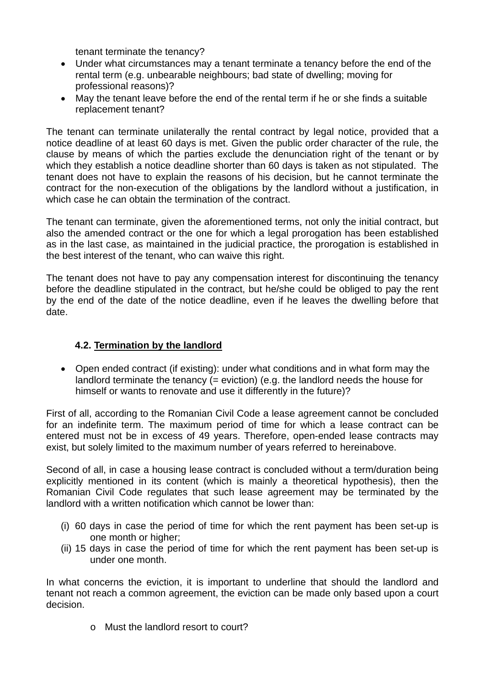tenant terminate the tenancy?

- Under what circumstances may a tenant terminate a tenancy before the end of the rental term (e.g. unbearable neighbours; bad state of dwelling; moving for professional reasons)?
- May the tenant leave before the end of the rental term if he or she finds a suitable replacement tenant?

The tenant can terminate unilaterally the rental contract by legal notice, provided that a notice deadline of at least 60 days is met. Given the public order character of the rule, the clause by means of which the parties exclude the denunciation right of the tenant or by which they establish a notice deadline shorter than 60 days is taken as not stipulated. The tenant does not have to explain the reasons of his decision, but he cannot terminate the contract for the non-execution of the obligations by the landlord without a justification, in which case he can obtain the termination of the contract.

The tenant can terminate, given the aforementioned terms, not only the initial contract, but also the amended contract or the one for which a legal prorogation has been established as in the last case, as maintained in the judicial practice, the prorogation is established in the best interest of the tenant, who can waive this right.

The tenant does not have to pay any compensation interest for discontinuing the tenancy before the deadline stipulated in the contract, but he/she could be obliged to pay the rent by the end of the date of the notice deadline, even if he leaves the dwelling before that date.

## **4.2. Termination by the landlord**

• Open ended contract (if existing): under what conditions and in what form may the landlord terminate the tenancy (= eviction) (e.g. the landlord needs the house for himself or wants to renovate and use it differently in the future)?

First of all, according to the Romanian Civil Code a lease agreement cannot be concluded for an indefinite term. The maximum period of time for which a lease contract can be entered must not be in excess of 49 years. Therefore, open-ended lease contracts may exist, but solely limited to the maximum number of years referred to hereinabove.

Second of all, in case a housing lease contract is concluded without a term/duration being explicitly mentioned in its content (which is mainly a theoretical hypothesis), then the Romanian Civil Code regulates that such lease agreement may be terminated by the landlord with a written notification which cannot be lower than:

- (i) 60 days in case the period of time for which the rent payment has been set-up is one month or higher;
- (ii) 15 days in case the period of time for which the rent payment has been set-up is under one month.

In what concerns the eviction, it is important to underline that should the landlord and tenant not reach a common agreement, the eviction can be made only based upon a court decision.

o Must the landlord resort to court?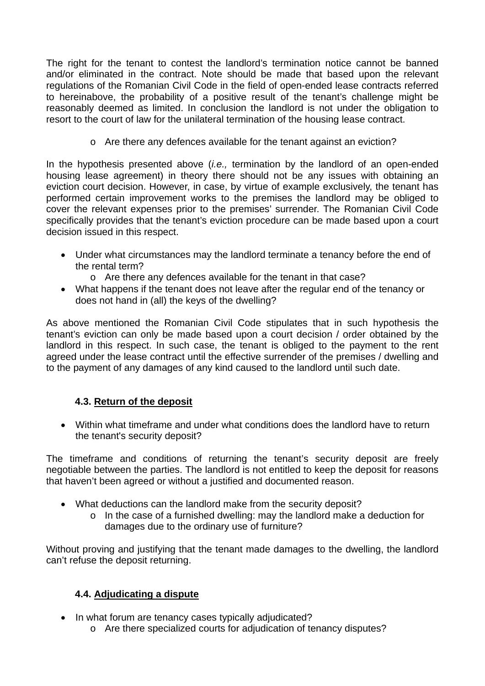The right for the tenant to contest the landlord's termination notice cannot be banned and/or eliminated in the contract. Note should be made that based upon the relevant regulations of the Romanian Civil Code in the field of open-ended lease contracts referred to hereinabove, the probability of a positive result of the tenant's challenge might be reasonably deemed as limited. In conclusion the landlord is not under the obligation to resort to the court of law for the unilateral termination of the housing lease contract.

o Are there any defences available for the tenant against an eviction?

In the hypothesis presented above (*i.e.,* termination by the landlord of an open-ended housing lease agreement) in theory there should not be any issues with obtaining an eviction court decision. However, in case, by virtue of example exclusively, the tenant has performed certain improvement works to the premises the landlord may be obliged to cover the relevant expenses prior to the premises' surrender. The Romanian Civil Code specifically provides that the tenant's eviction procedure can be made based upon a court decision issued in this respect.

- Under what circumstances may the landlord terminate a tenancy before the end of the rental term?
	- o Are there any defences available for the tenant in that case?
- What happens if the tenant does not leave after the regular end of the tenancy or does not hand in (all) the keys of the dwelling?

As above mentioned the Romanian Civil Code stipulates that in such hypothesis the tenant's eviction can only be made based upon a court decision / order obtained by the landlord in this respect. In such case, the tenant is obliged to the payment to the rent agreed under the lease contract until the effective surrender of the premises / dwelling and to the payment of any damages of any kind caused to the landlord until such date.

### **4.3. Return of the deposit**

 Within what timeframe and under what conditions does the landlord have to return the tenant's security deposit?

The timeframe and conditions of returning the tenant's security deposit are freely negotiable between the parties. The landlord is not entitled to keep the deposit for reasons that haven't been agreed or without a justified and documented reason.

- What deductions can the landlord make from the security deposit?
	- o In the case of a furnished dwelling: may the landlord make a deduction for damages due to the ordinary use of furniture?

Without proving and justifying that the tenant made damages to the dwelling, the landlord can't refuse the deposit returning.

## **4.4. Adjudicating a dispute**

- In what forum are tenancy cases typically adjudicated?
	- o Are there specialized courts for adjudication of tenancy disputes?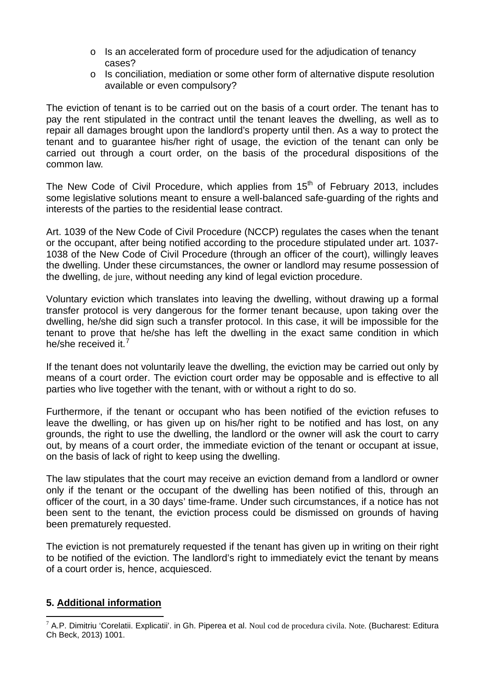- o Is an accelerated form of procedure used for the adjudication of tenancy cases?
- o Is conciliation, mediation or some other form of alternative dispute resolution available or even compulsory?

The eviction of tenant is to be carried out on the basis of a court order. The tenant has to pay the rent stipulated in the contract until the tenant leaves the dwelling, as well as to repair all damages brought upon the landlord's property until then. As a way to protect the tenant and to guarantee his/her right of usage, the eviction of the tenant can only be carried out through a court order, on the basis of the procedural dispositions of the common law.

The New Code of Civil Procedure, which applies from  $15<sup>th</sup>$  of February 2013, includes some legislative solutions meant to ensure a well-balanced safe-guarding of the rights and interests of the parties to the residential lease contract.

Art. 1039 of the New Code of Civil Procedure (NCCP) regulates the cases when the tenant or the occupant, after being notified according to the procedure stipulated under art. 1037- 1038 of the New Code of Civil Procedure (through an officer of the court), willingly leaves the dwelling. Under these circumstances, the owner or landlord may resume possession of the dwelling, de jure, without needing any kind of legal eviction procedure.

Voluntary eviction which translates into leaving the dwelling, without drawing up a formal transfer protocol is very dangerous for the former tenant because, upon taking over the dwelling, he/she did sign such a transfer protocol. In this case, it will be impossible for the tenant to prove that he/she has left the dwelling in the exact same condition in which he/she received it.<sup>[7](#page-22-0)</sup>

If the tenant does not voluntarily leave the dwelling, the eviction may be carried out only by means of a court order. The eviction court order may be opposable and is effective to all parties who live together with the tenant, with or without a right to do so.

Furthermore, if the tenant or occupant who has been notified of the eviction refuses to leave the dwelling, or has given up on his/her right to be notified and has lost, on any grounds, the right to use the dwelling, the landlord or the owner will ask the court to carry out, by means of a court order, the immediate eviction of the tenant or occupant at issue, on the basis of lack of right to keep using the dwelling.

The law stipulates that the court may receive an eviction demand from a landlord or owner only if the tenant or the occupant of the dwelling has been notified of this, through an officer of the court, in a 30 days' time-frame. Under such circumstances, if a notice has not been sent to the tenant, the eviction process could be dismissed on grounds of having been prematurely requested.

The eviction is not prematurely requested if the tenant has given up in writing on their right to be notified of the eviction. The landlord's right to immediately evict the tenant by means of a court order is, hence, acquiesced.

### **5. Additional information**

 $\overline{a}$ 

<span id="page-22-0"></span><sup>&</sup>lt;sup>7</sup> A.P. Dimitriu 'Corelatii. Explicatii'. in Gh. Piperea et al. Noul cod de procedura civila. Note. (Bucharest: Editura Ch Beck, 2013) 1001.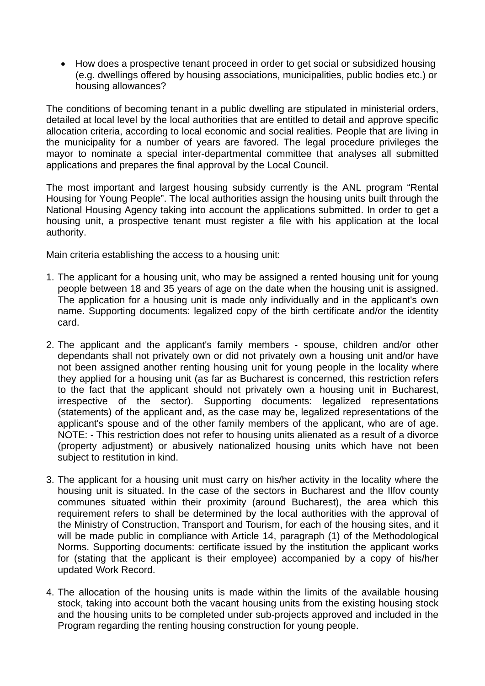• How does a prospective tenant proceed in order to get social or subsidized housing (e.g. dwellings offered by housing associations, municipalities, public bodies etc.) or housing allowances?

The conditions of becoming tenant in a public dwelling are stipulated in ministerial orders, detailed at local level by the local authorities that are entitled to detail and approve specific allocation criteria, according to local economic and social realities. People that are living in the municipality for a number of years are favored. The legal procedure privileges the mayor to nominate a special inter-departmental committee that analyses all submitted applications and prepares the final approval by the Local Council.

The most important and largest housing subsidy currently is the ANL program "Rental Housing for Young People". The local authorities assign the housing units built through the National Housing Agency taking into account the applications submitted. In order to get a housing unit, a prospective tenant must register a file with his application at the local authority.

Main criteria establishing the access to a housing unit:

- 1. The applicant for a housing unit, who may be assigned a rented housing unit for young people between 18 and 35 years of age on the date when the housing unit is assigned. The application for a housing unit is made only individually and in the applicant's own name. Supporting documents: legalized copy of the birth certificate and/or the identity card.
- 2. The applicant and the applicant's family members spouse, children and/or other dependants shall not privately own or did not privately own a housing unit and/or have not been assigned another renting housing unit for young people in the locality where they applied for a housing unit (as far as Bucharest is concerned, this restriction refers to the fact that the applicant should not privately own a housing unit in Bucharest, irrespective of the sector). Supporting documents: legalized representations (statements) of the applicant and, as the case may be, legalized representations of the applicant's spouse and of the other family members of the applicant, who are of age. NOTE: - This restriction does not refer to housing units alienated as a result of a divorce (property adjustment) or abusively nationalized housing units which have not been subject to restitution in kind.
- 3. The applicant for a housing unit must carry on his/her activity in the locality where the housing unit is situated. In the case of the sectors in Bucharest and the Ilfov county communes situated within their proximity (around Bucharest), the area which this requirement refers to shall be determined by the local authorities with the approval of the Ministry of Construction, Transport and Tourism, for each of the housing sites, and it will be made public in compliance with Article 14, paragraph (1) of the Methodological Norms. Supporting documents: certificate issued by the institution the applicant works for (stating that the applicant is their employee) accompanied by a copy of his/her updated Work Record.
- 4. The allocation of the housing units is made within the limits of the available housing stock, taking into account both the vacant housing units from the existing housing stock and the housing units to be completed under sub-projects approved and included in the Program regarding the renting housing construction for young people.